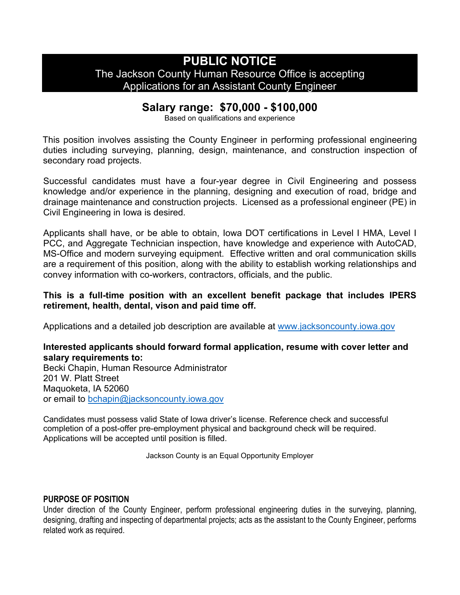## **PUBLIC NOTICE** The Jackson County Human Resource Office is accepting Applications for an Assistant County Engineer

## **Salary range: \$70,000 - \$100,000**

Based on qualifications and experience

This position involves assisting the County Engineer in performing professional engineering duties including surveying, planning, design, maintenance, and construction inspection of secondary road projects.

Successful candidates must have a four-year degree in Civil Engineering and possess knowledge and/or experience in the planning, designing and execution of road, bridge and drainage maintenance and construction projects. Licensed as a professional engineer (PE) in Civil Engineering in Iowa is desired.

Applicants shall have, or be able to obtain, Iowa DOT certifications in Level I HMA, Level I PCC, and Aggregate Technician inspection, have knowledge and experience with AutoCAD, MS-Office and modern surveying equipment. Effective written and oral communication skills are a requirement of this position, along with the ability to establish working relationships and convey information with co-workers, contractors, officials, and the public.

## **This is a full-time position with an excellent benefit package that includes IPERS retirement, health, dental, vison and paid time off.**

Applications and a detailed job description are available at [www.jacksoncounty.iowa.gov](http://www.jacksoncounty.iowa.gov/)

## **Interested applicants should forward formal application, resume with cover letter and salary requirements to:**

Becki Chapin, Human Resource Administrator 201 W. Platt Street Maquoketa, IA 52060 or email to [bchapin@jacksoncounty.iowa.gov](mailto:bchapin@jacksoncounty.iowa.gov)

Candidates must possess valid State of Iowa driver's license. Reference check and successful completion of a post-offer pre-employment physical and background check will be required. Applications will be accepted until position is filled.

Jackson County is an Equal Opportunity Employer

## **PURPOSE OF POSITION**

Under direction of the County Engineer, perform professional engineering duties in the surveying, planning, designing, drafting and inspecting of departmental projects; acts as the assistant to the County Engineer, performs related work as required.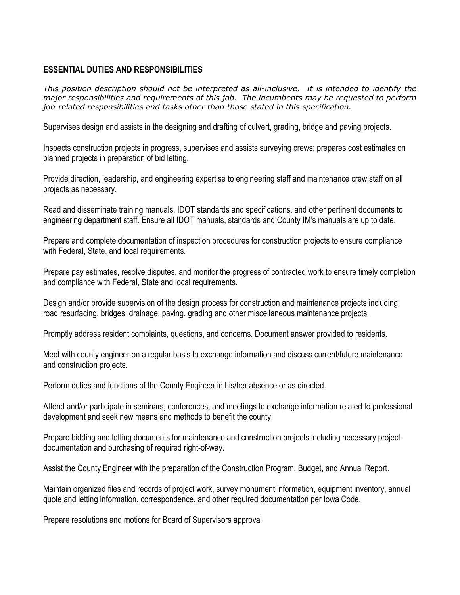## **ESSENTIAL DUTIES AND RESPONSIBILITIES**

*This position description should not be interpreted as all-inclusive. It is intended to identify the major responsibilities and requirements of this job. The incumbents may be requested to perform job-related responsibilities and tasks other than those stated in this specification.*

Supervises design and assists in the designing and drafting of culvert, grading, bridge and paving projects.

Inspects construction projects in progress, supervises and assists surveying crews; prepares cost estimates on planned projects in preparation of bid letting.

Provide direction, leadership, and engineering expertise to engineering staff and maintenance crew staff on all projects as necessary.

Read and disseminate training manuals, IDOT standards and specifications, and other pertinent documents to engineering department staff. Ensure all IDOT manuals, standards and County IM's manuals are up to date.

Prepare and complete documentation of inspection procedures for construction projects to ensure compliance with Federal, State, and local requirements.

Prepare pay estimates, resolve disputes, and monitor the progress of contracted work to ensure timely completion and compliance with Federal, State and local requirements.

Design and/or provide supervision of the design process for construction and maintenance projects including: road resurfacing, bridges, drainage, paving, grading and other miscellaneous maintenance projects.

Promptly address resident complaints, questions, and concerns. Document answer provided to residents.

Meet with county engineer on a regular basis to exchange information and discuss current/future maintenance and construction projects.

Perform duties and functions of the County Engineer in his/her absence or as directed.

Attend and/or participate in seminars, conferences, and meetings to exchange information related to professional development and seek new means and methods to benefit the county.

Prepare bidding and letting documents for maintenance and construction projects including necessary project documentation and purchasing of required right-of-way.

Assist the County Engineer with the preparation of the Construction Program, Budget, and Annual Report.

Maintain organized files and records of project work, survey monument information, equipment inventory, annual quote and letting information, correspondence, and other required documentation per Iowa Code.

Prepare resolutions and motions for Board of Supervisors approval.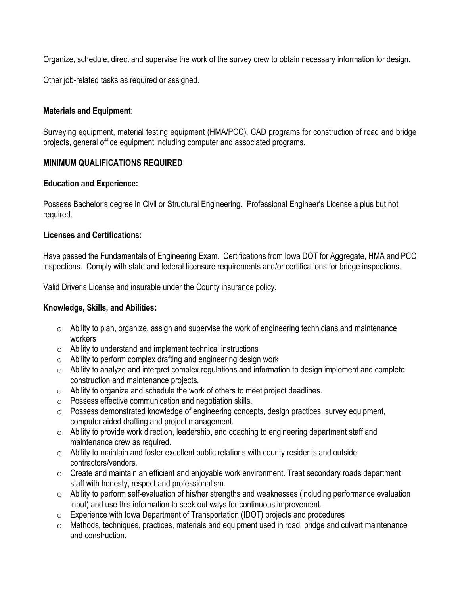Organize, schedule, direct and supervise the work of the survey crew to obtain necessary information for design.

Other job-related tasks as required or assigned.

## **Materials and Equipment**:

Surveying equipment, material testing equipment (HMA/PCC), CAD programs for construction of road and bridge projects, general office equipment including computer and associated programs.

## **MINIMUM QUALIFICATIONS REQUIRED**

## **Education and Experience:**

Possess Bachelor's degree in Civil or Structural Engineering. Professional Engineer's License a plus but not required.

## **Licenses and Certifications:**

Have passed the Fundamentals of Engineering Exam. Certifications from Iowa DOT for Aggregate, HMA and PCC inspections. Comply with state and federal licensure requirements and/or certifications for bridge inspections.

Valid Driver's License and insurable under the County insurance policy.

## **Knowledge, Skills, and Abilities:**

- $\circ$  Ability to plan, organize, assign and supervise the work of engineering technicians and maintenance workers
- o Ability to understand and implement technical instructions
- o Ability to perform complex drafting and engineering design work
- o Ability to analyze and interpret complex regulations and information to design implement and complete construction and maintenance projects.
- o Ability to organize and schedule the work of others to meet project deadlines.
- o Possess effective communication and negotiation skills.
- o Possess demonstrated knowledge of engineering concepts, design practices, survey equipment, computer aided drafting and project management.
- o Ability to provide work direction, leadership, and coaching to engineering department staff and maintenance crew as required.
- $\circ$  Ability to maintain and foster excellent public relations with county residents and outside contractors/vendors.
- o Create and maintain an efficient and enjoyable work environment. Treat secondary roads department staff with honesty, respect and professionalism.
- o Ability to perform self-evaluation of his/her strengths and weaknesses (including performance evaluation input) and use this information to seek out ways for continuous improvement.
- o Experience with Iowa Department of Transportation (IDOT) projects and procedures
- o Methods, techniques, practices, materials and equipment used in road, bridge and culvert maintenance and construction.